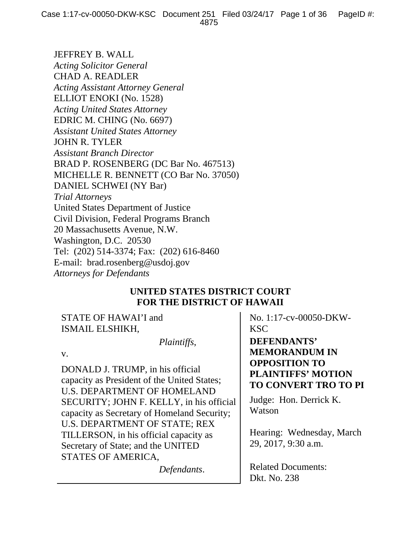JEFFREY B. WALL *Acting Solicitor General*  CHAD A. READLER *Acting Assistant Attorney General*  ELLIOT ENOKI (No. 1528) *Acting United States Attorney*  EDRIC M. CHING (No. 6697) *Assistant United States Attorney*  JOHN R. TYLER *Assistant Branch Director*  BRAD P. ROSENBERG (DC Bar No. 467513) MICHELLE R. BENNETT (CO Bar No. 37050) DANIEL SCHWEI (NY Bar) *Trial Attorneys*  United States Department of Justice Civil Division, Federal Programs Branch 20 Massachusetts Avenue, N.W. Washington, D.C. 20530 Tel: (202) 514-3374; Fax: (202) 616-8460 E-mail: brad.rosenberg@usdoj.gov *Attorneys for Defendants*

## **UNITED STATES DISTRICT COURT FOR THE DISTRICT OF HAWAII**

STATE OF HAWAI'I and ISMAIL ELSHIKH,

 *Plaintiffs*,

v.

DONALD J. TRUMP, in his official capacity as President of the United States; U.S. DEPARTMENT OF HOMELAND SECURITY; JOHN F. KELLY, in his official capacity as Secretary of Homeland Security; U.S. DEPARTMENT OF STATE; REX TILLERSON, in his official capacity as Secretary of State; and the UNITED STATES OF AMERICA,

*Defendants*.

No. 1:17-cv-00050-DKW-KSC

**DEFENDANTS' MEMORANDUM IN OPPOSITION TO PLAINTIFFS' MOTION TO CONVERT TRO TO PI**

Judge: Hon. Derrick K. Watson

Hearing: Wednesday, March 29, 2017, 9:30 a.m.

Related Documents: Dkt. No. 238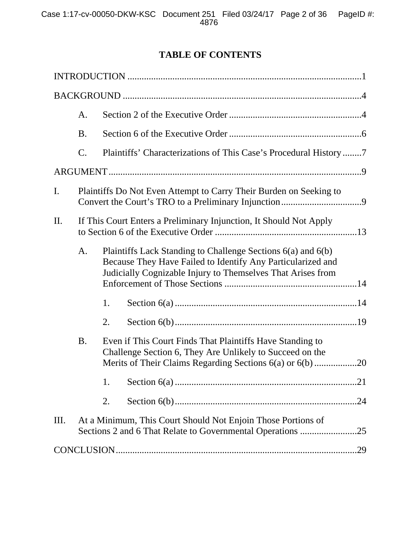# **TABLE OF CONTENTS**

|                | A.                                                                                                                                                                                                                                                                     |                                                                                                                       |                                                                   |  |  |  |  |
|----------------|------------------------------------------------------------------------------------------------------------------------------------------------------------------------------------------------------------------------------------------------------------------------|-----------------------------------------------------------------------------------------------------------------------|-------------------------------------------------------------------|--|--|--|--|
|                | <b>B.</b>                                                                                                                                                                                                                                                              |                                                                                                                       |                                                                   |  |  |  |  |
|                | $\mathcal{C}$ .                                                                                                                                                                                                                                                        |                                                                                                                       | Plaintiffs' Characterizations of This Case's Procedural History 7 |  |  |  |  |
|                |                                                                                                                                                                                                                                                                        |                                                                                                                       |                                                                   |  |  |  |  |
| $\mathbf{I}$ . |                                                                                                                                                                                                                                                                        | Plaintiffs Do Not Even Attempt to Carry Their Burden on Seeking to                                                    |                                                                   |  |  |  |  |
| II.            | If This Court Enters a Preliminary Injunction, It Should Not Apply<br>Plaintiffs Lack Standing to Challenge Sections 6(a) and 6(b)<br>A.<br>Because They Have Failed to Identify Any Particularized and<br>Judicially Cognizable Injury to Themselves That Arises from |                                                                                                                       |                                                                   |  |  |  |  |
|                |                                                                                                                                                                                                                                                                        |                                                                                                                       |                                                                   |  |  |  |  |
|                |                                                                                                                                                                                                                                                                        | 1.                                                                                                                    |                                                                   |  |  |  |  |
|                |                                                                                                                                                                                                                                                                        | 2.                                                                                                                    |                                                                   |  |  |  |  |
|                | <b>B.</b>                                                                                                                                                                                                                                                              | Even if This Court Finds That Plaintiffs Have Standing to<br>Challenge Section 6, They Are Unlikely to Succeed on the |                                                                   |  |  |  |  |
|                |                                                                                                                                                                                                                                                                        | 1.                                                                                                                    |                                                                   |  |  |  |  |
|                |                                                                                                                                                                                                                                                                        | 2.                                                                                                                    |                                                                   |  |  |  |  |
| III.           | At a Minimum, This Court Should Not Enjoin Those Portions of<br>Sections 2 and 6 That Relate to Governmental Operations<br>.25                                                                                                                                         |                                                                                                                       |                                                                   |  |  |  |  |
| .29            |                                                                                                                                                                                                                                                                        |                                                                                                                       |                                                                   |  |  |  |  |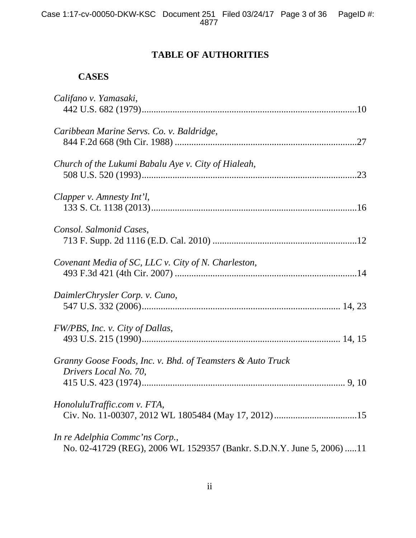# **TABLE OF AUTHORITIES**

## **CASES**

| Califano v. Yamasaki,                                                                                   |
|---------------------------------------------------------------------------------------------------------|
| Caribbean Marine Servs. Co. v. Baldridge,                                                               |
| Church of the Lukumi Babalu Aye v. City of Hialeah,                                                     |
| Clapper v. Amnesty Int'l,                                                                               |
| Consol. Salmonid Cases,                                                                                 |
| Covenant Media of SC, LLC v. City of N. Charleston,                                                     |
| DaimlerChrysler Corp. v. Cuno,                                                                          |
| FW/PBS, Inc. v. City of Dallas,                                                                         |
| Granny Goose Foods, Inc. v. Bhd. of Teamsters & Auto Truck<br>Drivers Local No. 70,                     |
| HonoluluTraffic.com v. FTA,                                                                             |
| In re Adelphia Commc'ns Corp.,<br>No. 02-41729 (REG), 2006 WL 1529357 (Bankr. S.D.N.Y. June 5, 2006) 11 |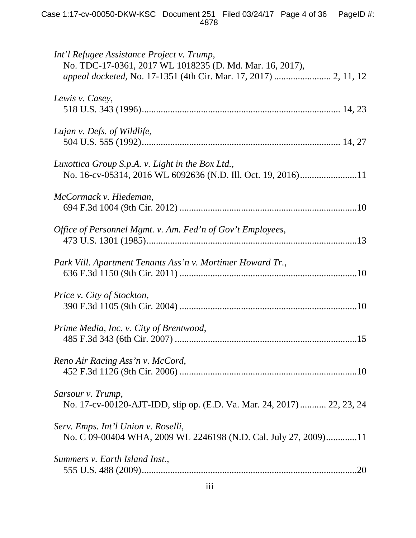| Int'l Refugee Assistance Project v. Trump,<br>No. TDC-17-0361, 2017 WL 1018235 (D. Md. Mar. 16, 2017), |
|--------------------------------------------------------------------------------------------------------|
| Lewis v. Casey,                                                                                        |
| Lujan v. Defs. of Wildlife,                                                                            |
| Luxottica Group S.p.A. v. Light in the Box Ltd.,                                                       |
| McCormack v. Hiedeman,                                                                                 |
| Office of Personnel Mgmt. v. Am. Fed'n of Gov't Employees,                                             |
| Park Vill. Apartment Tenants Ass'n v. Mortimer Howard Tr.,                                             |
| Price v. City of Stockton,                                                                             |
| Prime Media, Inc. v. City of Brentwood,                                                                |
| Reno Air Racing Ass'n v. McCord,                                                                       |
| Sarsour v. Trump,<br>No. 17-cv-00120-AJT-IDD, slip op. (E.D. Va. Mar. 24, 2017)  22, 23, 24            |
| Serv. Emps. Int'l Union v. Roselli,<br>No. C 09-00404 WHA, 2009 WL 2246198 (N.D. Cal. July 27, 2009)11 |
| Summers v. Earth Island Inst.,<br>.20                                                                  |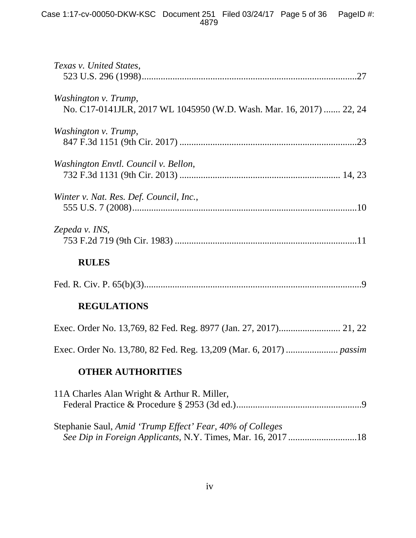| Texas v. United States,                                                                                                  |  |  |  |
|--------------------------------------------------------------------------------------------------------------------------|--|--|--|
| Washington v. Trump,<br>No. C17-0141JLR, 2017 WL 1045950 (W.D. Wash. Mar. 16, 2017)  22, 24                              |  |  |  |
| Washington v. Trump,                                                                                                     |  |  |  |
| Washington Envtl. Council v. Bellon,                                                                                     |  |  |  |
| Winter v. Nat. Res. Def. Council, Inc.,                                                                                  |  |  |  |
| Zepeda v. INS,                                                                                                           |  |  |  |
| <b>RULES</b>                                                                                                             |  |  |  |
|                                                                                                                          |  |  |  |
| <b>REGULATIONS</b>                                                                                                       |  |  |  |
|                                                                                                                          |  |  |  |
|                                                                                                                          |  |  |  |
| <b>OTHER AUTHORITIES</b>                                                                                                 |  |  |  |
| 11A Charles Alan Wright & Arthur R. Miller,                                                                              |  |  |  |
| Stephanie Saul, Amid 'Trump Effect' Fear, 40% of Colleges<br>See Dip in Foreign Applicants, N.Y. Times, Mar. 16, 2017 18 |  |  |  |
|                                                                                                                          |  |  |  |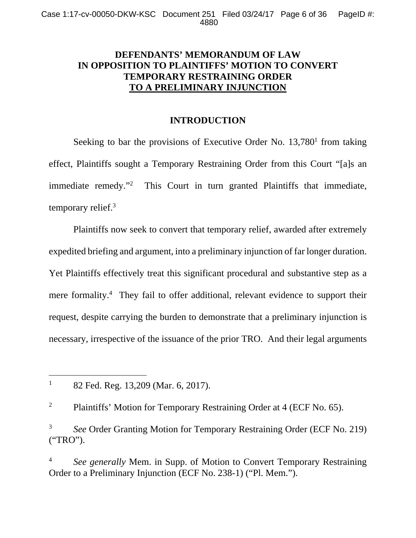## **DEFENDANTS' MEMORANDUM OF LAW IN OPPOSITION TO PLAINTIFFS' MOTION TO CONVERT TEMPORARY RESTRAINING ORDER TO A PRELIMINARY INJUNCTION**

## **INTRODUCTION**

Seeking to bar the provisions of Executive Order No.  $13,780<sup>1</sup>$  from taking effect, Plaintiffs sought a Temporary Restraining Order from this Court "[a]s an immediate remedy."2 This Court in turn granted Plaintiffs that immediate, temporary relief.<sup>3</sup>

Plaintiffs now seek to convert that temporary relief, awarded after extremely expedited briefing and argument, into a preliminary injunction of far longer duration. Yet Plaintiffs effectively treat this significant procedural and substantive step as a mere formality.<sup>4</sup> They fail to offer additional, relevant evidence to support their request, despite carrying the burden to demonstrate that a preliminary injunction is necessary, irrespective of the issuance of the prior TRO. And their legal arguments

-

2 Plaintiffs' Motion for Temporary Restraining Order at 4 (ECF No. 65).

3 *See* Order Granting Motion for Temporary Restraining Order (ECF No. 219) ("TRO").

4 *See generally* Mem. in Supp. of Motion to Convert Temporary Restraining Order to a Preliminary Injunction (ECF No. 238-1) ("Pl. Mem.").

<sup>1</sup> 82 Fed. Reg. 13,209 (Mar. 6, 2017).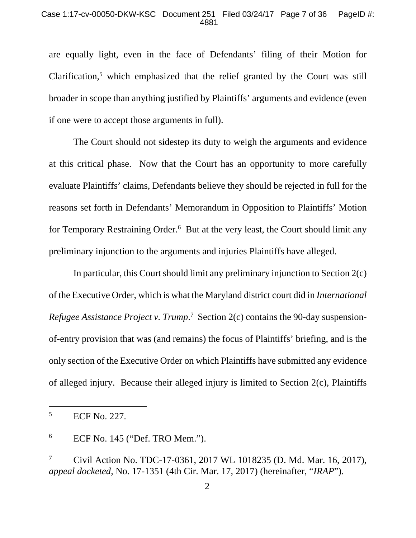### Case 1:17-cv-00050-DKW-KSC Document 251 Filed 03/24/17 Page 7 of 36 PageID #: 4881

are equally light, even in the face of Defendants' filing of their Motion for Clarification, $5$  which emphasized that the relief granted by the Court was still broader in scope than anything justified by Plaintiffs' arguments and evidence (even if one were to accept those arguments in full).

The Court should not sidestep its duty to weigh the arguments and evidence at this critical phase. Now that the Court has an opportunity to more carefully evaluate Plaintiffs' claims, Defendants believe they should be rejected in full for the reasons set forth in Defendants' Memorandum in Opposition to Plaintiffs' Motion for Temporary Restraining Order.<sup>6</sup> But at the very least, the Court should limit any preliminary injunction to the arguments and injuries Plaintiffs have alleged.

 In particular, this Court should limit any preliminary injunction to Section 2(c) of the Executive Order, which is what the Maryland district court did in *International Refugee Assistance Project v. Trump.*<sup>7</sup> Section 2(c) contains the 90-day suspensionof-entry provision that was (and remains) the focus of Plaintiffs' briefing, and is the only section of the Executive Order on which Plaintiffs have submitted any evidence of alleged injury. Because their alleged injury is limited to Section 2(c), Plaintiffs

-

<sup>5</sup> ECF No. 227.

<sup>6</sup> ECF No. 145 ("Def. TRO Mem.").

<sup>7</sup> Civil Action No. TDC-17-0361, 2017 WL 1018235 (D. Md. Mar. 16, 2017), *appeal docketed*, No. 17-1351 (4th Cir. Mar. 17, 2017) (hereinafter, "*IRAP*").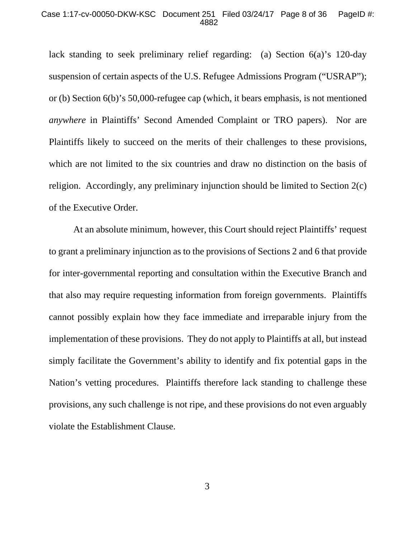### Case 1:17-cv-00050-DKW-KSC Document 251 Filed 03/24/17 Page 8 of 36 PageID #: 4882

lack standing to seek preliminary relief regarding: (a) Section 6(a)'s 120-day suspension of certain aspects of the U.S. Refugee Admissions Program ("USRAP"); or (b) Section 6(b)'s 50,000-refugee cap (which, it bears emphasis, is not mentioned *anywhere* in Plaintiffs' Second Amended Complaint or TRO papers). Nor are Plaintiffs likely to succeed on the merits of their challenges to these provisions, which are not limited to the six countries and draw no distinction on the basis of religion. Accordingly, any preliminary injunction should be limited to Section 2(c) of the Executive Order.

 At an absolute minimum, however, this Court should reject Plaintiffs' request to grant a preliminary injunction as to the provisions of Sections 2 and 6 that provide for inter-governmental reporting and consultation within the Executive Branch and that also may require requesting information from foreign governments. Plaintiffs cannot possibly explain how they face immediate and irreparable injury from the implementation of these provisions. They do not apply to Plaintiffs at all, but instead simply facilitate the Government's ability to identify and fix potential gaps in the Nation's vetting procedures. Plaintiffs therefore lack standing to challenge these provisions, any such challenge is not ripe, and these provisions do not even arguably violate the Establishment Clause.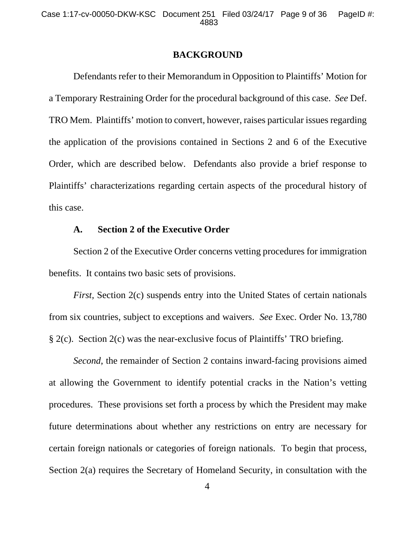### **BACKGROUND**

Defendants refer to their Memorandum in Opposition to Plaintiffs' Motion for a Temporary Restraining Order for the procedural background of this case. *See* Def. TRO Mem. Plaintiffs' motion to convert, however, raises particular issues regarding the application of the provisions contained in Sections 2 and 6 of the Executive Order, which are described below. Defendants also provide a brief response to Plaintiffs' characterizations regarding certain aspects of the procedural history of this case.

## **A. Section 2 of the Executive Order**

Section 2 of the Executive Order concerns vetting procedures for immigration benefits. It contains two basic sets of provisions.

*First, Section 2(c)* suspends entry into the United States of certain nationals from six countries, subject to exceptions and waivers. *See* Exec. Order No. 13,780 § 2(c). Section 2(c) was the near-exclusive focus of Plaintiffs' TRO briefing.

*Second*, the remainder of Section 2 contains inward-facing provisions aimed at allowing the Government to identify potential cracks in the Nation's vetting procedures. These provisions set forth a process by which the President may make future determinations about whether any restrictions on entry are necessary for certain foreign nationals or categories of foreign nationals. To begin that process, Section 2(a) requires the Secretary of Homeland Security, in consultation with the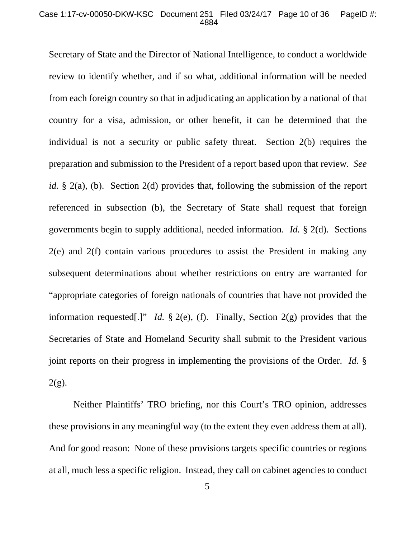#### Case 1:17-cv-00050-DKW-KSC Document 251 Filed 03/24/17 Page 10 of 36 PageID #: 4884

Secretary of State and the Director of National Intelligence, to conduct a worldwide review to identify whether, and if so what, additional information will be needed from each foreign country so that in adjudicating an application by a national of that country for a visa, admission, or other benefit, it can be determined that the individual is not a security or public safety threat. Section 2(b) requires the preparation and submission to the President of a report based upon that review. *See id.* § 2(a), (b). Section 2(d) provides that, following the submission of the report referenced in subsection (b), the Secretary of State shall request that foreign governments begin to supply additional, needed information. *Id.* § 2(d). Sections 2(e) and 2(f) contain various procedures to assist the President in making any subsequent determinations about whether restrictions on entry are warranted for "appropriate categories of foreign nationals of countries that have not provided the information requested[.]" *Id.* § 2(e), (f). Finally, Section 2(g) provides that the Secretaries of State and Homeland Security shall submit to the President various joint reports on their progress in implementing the provisions of the Order. *Id.* §  $2(g)$ .

Neither Plaintiffs' TRO briefing, nor this Court's TRO opinion, addresses these provisions in any meaningful way (to the extent they even address them at all). And for good reason: None of these provisions targets specific countries or regions at all, much less a specific religion. Instead, they call on cabinet agencies to conduct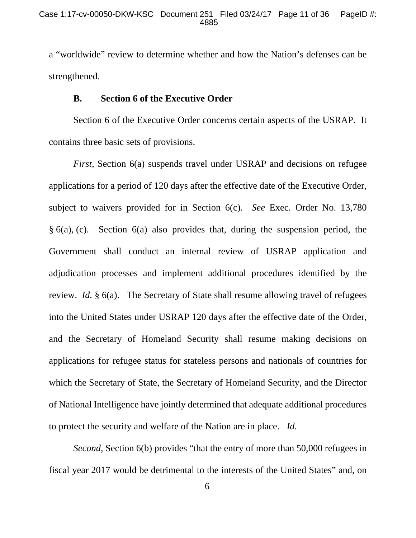a "worldwide" review to determine whether and how the Nation's defenses can be strengthened.

## **B. Section 6 of the Executive Order**

Section 6 of the Executive Order concerns certain aspects of the USRAP. It contains three basic sets of provisions.

*First*, Section 6(a) suspends travel under USRAP and decisions on refugee applications for a period of 120 days after the effective date of the Executive Order, subject to waivers provided for in Section 6(c). *See* Exec. Order No. 13,780 § 6(a), (c). Section 6(a) also provides that, during the suspension period, the Government shall conduct an internal review of USRAP application and adjudication processes and implement additional procedures identified by the review. *Id.* § 6(a). The Secretary of State shall resume allowing travel of refugees into the United States under USRAP 120 days after the effective date of the Order, and the Secretary of Homeland Security shall resume making decisions on applications for refugee status for stateless persons and nationals of countries for which the Secretary of State, the Secretary of Homeland Security, and the Director of National Intelligence have jointly determined that adequate additional procedures to protect the security and welfare of the Nation are in place. *Id.*

*Second*, Section 6(b) provides "that the entry of more than 50,000 refugees in fiscal year 2017 would be detrimental to the interests of the United States" and, on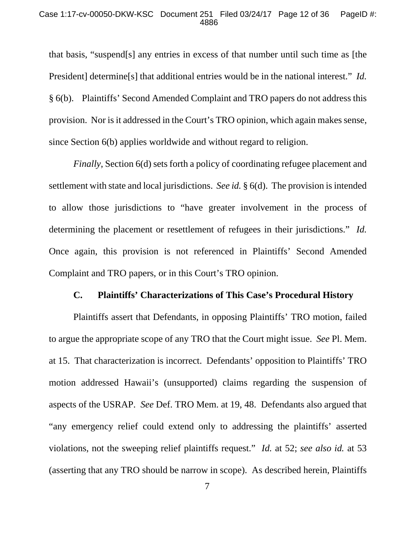### Case 1:17-cv-00050-DKW-KSC Document 251 Filed 03/24/17 Page 12 of 36 PageID #: 4886

that basis, "suspend[s] any entries in excess of that number until such time as [the President] determine[s] that additional entries would be in the national interest." *Id.* § 6(b). Plaintiffs' Second Amended Complaint and TRO papers do not address this provision. Nor is it addressed in the Court's TRO opinion, which again makes sense, since Section 6(b) applies worldwide and without regard to religion.

*Finally*, Section 6(d) sets forth a policy of coordinating refugee placement and settlement with state and local jurisdictions. *See id.* § 6(d). The provision is intended to allow those jurisdictions to "have greater involvement in the process of determining the placement or resettlement of refugees in their jurisdictions." *Id.* Once again, this provision is not referenced in Plaintiffs' Second Amended Complaint and TRO papers, or in this Court's TRO opinion.

## **C. Plaintiffs' Characterizations of This Case's Procedural History**

 Plaintiffs assert that Defendants, in opposing Plaintiffs' TRO motion, failed to argue the appropriate scope of any TRO that the Court might issue. *See* Pl. Mem. at 15. That characterization is incorrect. Defendants' opposition to Plaintiffs' TRO motion addressed Hawaii's (unsupported) claims regarding the suspension of aspects of the USRAP. *See* Def. TRO Mem. at 19, 48. Defendants also argued that "any emergency relief could extend only to addressing the plaintiffs' asserted violations, not the sweeping relief plaintiffs request." *Id.* at 52; *see also id.* at 53 (asserting that any TRO should be narrow in scope). As described herein, Plaintiffs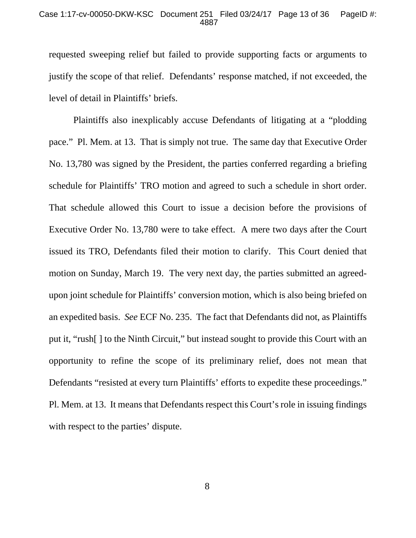### Case 1:17-cv-00050-DKW-KSC Document 251 Filed 03/24/17 Page 13 of 36 PageID #: 4887

requested sweeping relief but failed to provide supporting facts or arguments to justify the scope of that relief. Defendants' response matched, if not exceeded, the level of detail in Plaintiffs' briefs.

 Plaintiffs also inexplicably accuse Defendants of litigating at a "plodding pace." Pl. Mem. at 13. That is simply not true. The same day that Executive Order No. 13,780 was signed by the President, the parties conferred regarding a briefing schedule for Plaintiffs' TRO motion and agreed to such a schedule in short order. That schedule allowed this Court to issue a decision before the provisions of Executive Order No. 13,780 were to take effect. A mere two days after the Court issued its TRO, Defendants filed their motion to clarify. This Court denied that motion on Sunday, March 19. The very next day, the parties submitted an agreedupon joint schedule for Plaintiffs' conversion motion, which is also being briefed on an expedited basis. *See* ECF No. 235. The fact that Defendants did not, as Plaintiffs put it, "rush[ ] to the Ninth Circuit," but instead sought to provide this Court with an opportunity to refine the scope of its preliminary relief, does not mean that Defendants "resisted at every turn Plaintiffs' efforts to expedite these proceedings." Pl. Mem. at 13. It means that Defendants respect this Court's role in issuing findings with respect to the parties' dispute.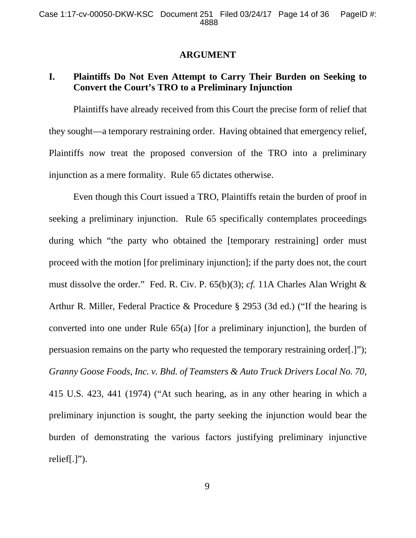### **ARGUMENT**

## **I. Plaintiffs Do Not Even Attempt to Carry Their Burden on Seeking to Convert the Court's TRO to a Preliminary Injunction**

Plaintiffs have already received from this Court the precise form of relief that they sought—a temporary restraining order. Having obtained that emergency relief, Plaintiffs now treat the proposed conversion of the TRO into a preliminary injunction as a mere formality. Rule 65 dictates otherwise.

Even though this Court issued a TRO, Plaintiffs retain the burden of proof in seeking a preliminary injunction. Rule 65 specifically contemplates proceedings during which "the party who obtained the [temporary restraining] order must proceed with the motion [for preliminary injunction]; if the party does not, the court must dissolve the order." Fed. R. Civ. P. 65(b)(3); *cf.* 11A Charles Alan Wright & Arthur R. Miller, Federal Practice & Procedure § 2953 (3d ed.) ("If the hearing is converted into one under Rule 65(a) [for a preliminary injunction], the burden of persuasion remains on the party who requested the temporary restraining order[.]"); *Granny Goose Foods, Inc. v. Bhd. of Teamsters & Auto Truck Drivers Local No. 70*, 415 U.S. 423, 441 (1974) ("At such hearing, as in any other hearing in which a preliminary injunction is sought, the party seeking the injunction would bear the burden of demonstrating the various factors justifying preliminary injunctive relief[.]").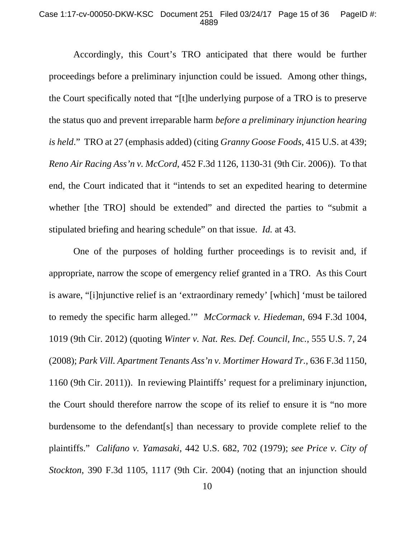#### Case 1:17-cv-00050-DKW-KSC Document 251 Filed 03/24/17 Page 15 of 36 PageID #: 4889

Accordingly, this Court's TRO anticipated that there would be further proceedings before a preliminary injunction could be issued. Among other things, the Court specifically noted that "[t]he underlying purpose of a TRO is to preserve the status quo and prevent irreparable harm *before a preliminary injunction hearing is held*." TRO at 27 (emphasis added) (citing *Granny Goose Foods*, 415 U.S. at 439; *Reno Air Racing Ass'n v. McCord*, 452 F.3d 1126, 1130-31 (9th Cir. 2006)). To that end, the Court indicated that it "intends to set an expedited hearing to determine whether [the TRO] should be extended" and directed the parties to "submit a stipulated briefing and hearing schedule" on that issue. *Id.* at 43.

One of the purposes of holding further proceedings is to revisit and, if appropriate, narrow the scope of emergency relief granted in a TRO. As this Court is aware, "[i]njunctive relief is an 'extraordinary remedy' [which] 'must be tailored to remedy the specific harm alleged.'" *McCormack v. Hiedeman*, 694 F.3d 1004, 1019 (9th Cir. 2012) (quoting *Winter v. Nat. Res. Def. Council, Inc.*, 555 U.S. 7, 24 (2008); *Park Vill. Apartment Tenants Ass'n v. Mortimer Howard Tr.*, 636 F.3d 1150, 1160 (9th Cir. 2011)). In reviewing Plaintiffs' request for a preliminary injunction, the Court should therefore narrow the scope of its relief to ensure it is "no more burdensome to the defendant[s] than necessary to provide complete relief to the plaintiffs." *Califano v. Yamasaki*, 442 U.S. 682, 702 (1979); *see Price v. City of Stockton*, 390 F.3d 1105, 1117 (9th Cir. 2004) (noting that an injunction should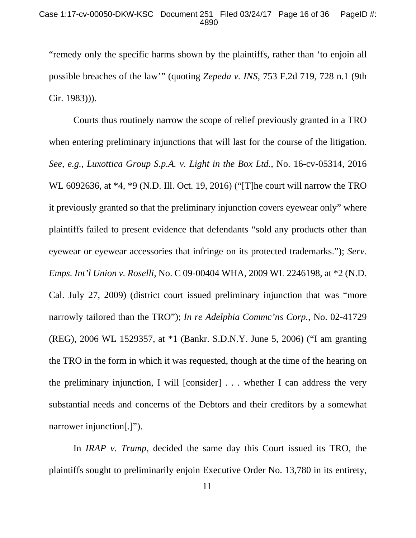"remedy only the specific harms shown by the plaintiffs, rather than 'to enjoin all possible breaches of the law'" (quoting *Zepeda v. INS*, 753 F.2d 719, 728 n.1 (9th Cir. 1983))).

Courts thus routinely narrow the scope of relief previously granted in a TRO when entering preliminary injunctions that will last for the course of the litigation. *See, e.g.*, *Luxottica Group S.p.A. v. Light in the Box Ltd.*, No. 16-cv-05314, 2016 WL 6092636, at \*4, \*9 (N.D. Ill. Oct. 19, 2016) ("[T]he court will narrow the TRO it previously granted so that the preliminary injunction covers eyewear only" where plaintiffs failed to present evidence that defendants "sold any products other than eyewear or eyewear accessories that infringe on its protected trademarks."); *Serv. Emps. Int'l Union v. Roselli*, No. C 09-00404 WHA, 2009 WL 2246198, at \*2 (N.D. Cal. July 27, 2009) (district court issued preliminary injunction that was "more narrowly tailored than the TRO"); *In re Adelphia Commc'ns Corp.*, No. 02-41729 (REG), 2006 WL 1529357, at \*1 (Bankr. S.D.N.Y. June 5, 2006) ("I am granting the TRO in the form in which it was requested, though at the time of the hearing on the preliminary injunction, I will [consider] . . . whether I can address the very substantial needs and concerns of the Debtors and their creditors by a somewhat narrower injunction[.]").

In *IRAP v. Trump*, decided the same day this Court issued its TRO, the plaintiffs sought to preliminarily enjoin Executive Order No. 13,780 in its entirety,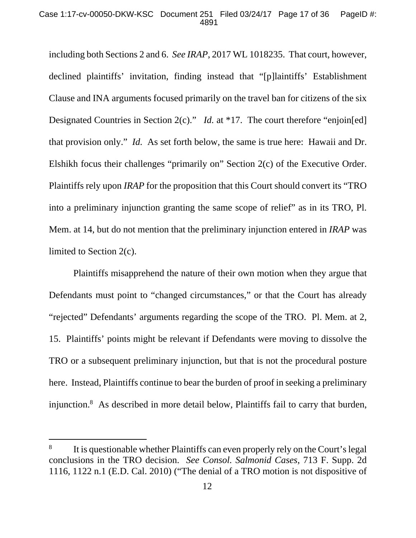including both Sections 2 and 6. *See IRAP*, 2017 WL 1018235. That court, however, declined plaintiffs' invitation, finding instead that "[p]laintiffs' Establishment Clause and INA arguments focused primarily on the travel ban for citizens of the six Designated Countries in Section 2(c)." *Id.* at \*17. The court therefore "enjoin[ed] that provision only." *Id.* As set forth below, the same is true here: Hawaii and Dr. Elshikh focus their challenges "primarily on" Section 2(c) of the Executive Order. Plaintiffs rely upon *IRAP* for the proposition that this Court should convert its "TRO into a preliminary injunction granting the same scope of relief" as in its TRO, Pl. Mem. at 14, but do not mention that the preliminary injunction entered in *IRAP* was limited to Section 2(c).

Plaintiffs misapprehend the nature of their own motion when they argue that Defendants must point to "changed circumstances," or that the Court has already "rejected" Defendants' arguments regarding the scope of the TRO. Pl. Mem. at 2, 15. Plaintiffs' points might be relevant if Defendants were moving to dissolve the TRO or a subsequent preliminary injunction, but that is not the procedural posture here. Instead, Plaintiffs continue to bear the burden of proof in seeking a preliminary injunction.8 As described in more detail below, Plaintiffs fail to carry that burden,

-

<sup>8</sup> It is questionable whether Plaintiffs can even properly rely on the Court's legal conclusions in the TRO decision. *See Consol. Salmonid Cases*, 713 F. Supp. 2d 1116, 1122 n.1 (E.D. Cal. 2010) ("The denial of a TRO motion is not dispositive of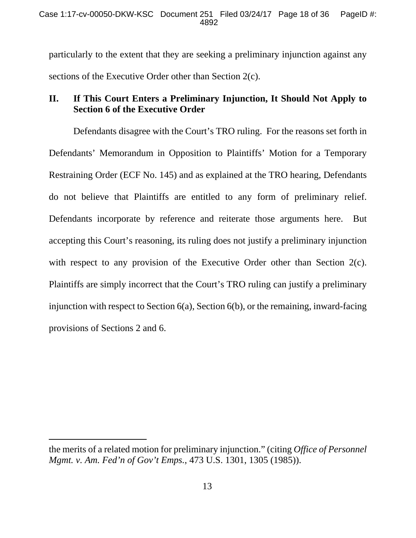particularly to the extent that they are seeking a preliminary injunction against any sections of the Executive Order other than Section 2(c).

## **II. If This Court Enters a Preliminary Injunction, It Should Not Apply to Section 6 of the Executive Order**

Defendants disagree with the Court's TRO ruling. For the reasons set forth in Defendants' Memorandum in Opposition to Plaintiffs' Motion for a Temporary Restraining Order (ECF No. 145) and as explained at the TRO hearing, Defendants do not believe that Plaintiffs are entitled to any form of preliminary relief. Defendants incorporate by reference and reiterate those arguments here. But accepting this Court's reasoning, its ruling does not justify a preliminary injunction with respect to any provision of the Executive Order other than Section 2(c). Plaintiffs are simply incorrect that the Court's TRO ruling can justify a preliminary injunction with respect to Section 6(a), Section 6(b), or the remaining, inward-facing provisions of Sections 2 and 6.

-

the merits of a related motion for preliminary injunction." (citing *Office of Personnel Mgmt. v. Am. Fed'n of Gov't Emps.*, 473 U.S. 1301, 1305 (1985)).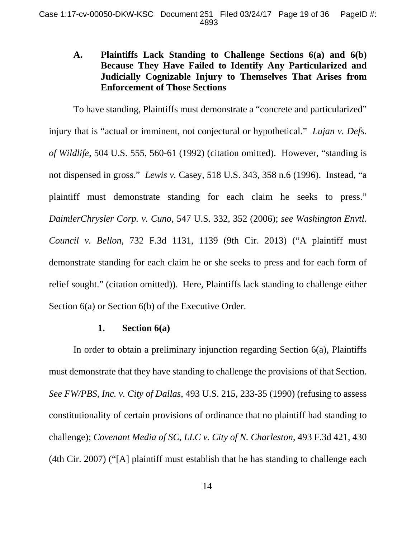## **A. Plaintiffs Lack Standing to Challenge Sections 6(a) and 6(b) Because They Have Failed to Identify Any Particularized and Judicially Cognizable Injury to Themselves That Arises from Enforcement of Those Sections**

To have standing, Plaintiffs must demonstrate a "concrete and particularized" injury that is "actual or imminent, not conjectural or hypothetical." *Lujan v. Defs. of Wildlife*, 504 U.S. 555, 560-61 (1992) (citation omitted). However, "standing is not dispensed in gross." *Lewis v.* Casey, 518 U.S. 343, 358 n.6 (1996). Instead, "a plaintiff must demonstrate standing for each claim he seeks to press." *DaimlerChrysler Corp. v. Cuno*, 547 U.S. 332, 352 (2006); *see Washington Envtl. Council v. Bellon*, 732 F.3d 1131, 1139 (9th Cir. 2013) ("A plaintiff must demonstrate standing for each claim he or she seeks to press and for each form of relief sought." (citation omitted)). Here, Plaintiffs lack standing to challenge either Section 6(a) or Section 6(b) of the Executive Order.

## **1. Section 6(a)**

In order to obtain a preliminary injunction regarding Section 6(a), Plaintiffs must demonstrate that they have standing to challenge the provisions of that Section. *See FW/PBS, Inc. v. City of Dallas*, 493 U.S. 215, 233-35 (1990) (refusing to assess constitutionality of certain provisions of ordinance that no plaintiff had standing to challenge); *Covenant Media of SC, LLC v. City of N. Charleston*, 493 F.3d 421, 430 (4th Cir. 2007) ("[A] plaintiff must establish that he has standing to challenge each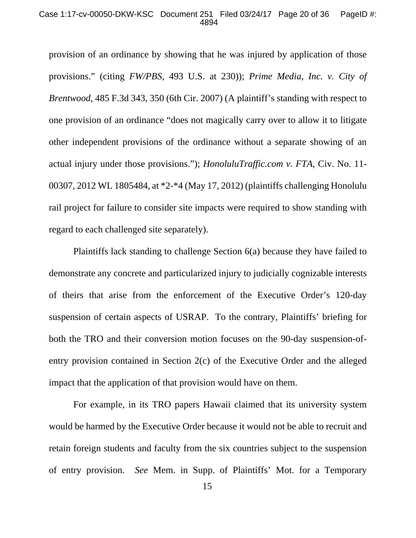### Case 1:17-cv-00050-DKW-KSC Document 251 Filed 03/24/17 Page 20 of 36 PageID #: 4894

provision of an ordinance by showing that he was injured by application of those provisions." (citing *FW/PBS*, 493 U.S. at 230)); *Prime Media, Inc. v. City of Brentwood*, 485 F.3d 343, 350 (6th Cir. 2007) (A plaintiff's standing with respect to one provision of an ordinance "does not magically carry over to allow it to litigate other independent provisions of the ordinance without a separate showing of an actual injury under those provisions."); *HonoluluTraffic.com v. FTA*, Civ. No. 11- 00307, 2012 WL 1805484, at \*2-\*4 (May 17, 2012) (plaintiffs challenging Honolulu rail project for failure to consider site impacts were required to show standing with regard to each challenged site separately).

Plaintiffs lack standing to challenge Section 6(a) because they have failed to demonstrate any concrete and particularized injury to judicially cognizable interests of theirs that arise from the enforcement of the Executive Order's 120-day suspension of certain aspects of USRAP. To the contrary, Plaintiffs' briefing for both the TRO and their conversion motion focuses on the 90-day suspension-ofentry provision contained in Section 2(c) of the Executive Order and the alleged impact that the application of that provision would have on them.

For example, in its TRO papers Hawaii claimed that its university system would be harmed by the Executive Order because it would not be able to recruit and retain foreign students and faculty from the six countries subject to the suspension of entry provision. *See* Mem. in Supp. of Plaintiffs' Mot. for a Temporary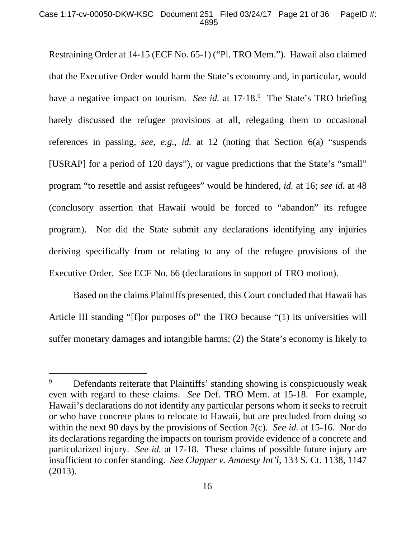### Case 1:17-cv-00050-DKW-KSC Document 251 Filed 03/24/17 Page 21 of 36 PageID #: 4895

Restraining Order at 14-15 (ECF No. 65-1) ("Pl. TRO Mem."). Hawaii also claimed that the Executive Order would harm the State's economy and, in particular, would have a negative impact on tourism. *See id.* at 17-18.<sup>9</sup> The State's TRO briefing barely discussed the refugee provisions at all, relegating them to occasional references in passing, *see, e.g.*, *id.* at 12 (noting that Section 6(a) "suspends [USRAP] for a period of 120 days"), or vague predictions that the State's "small" program "to resettle and assist refugees" would be hindered, *id.* at 16; *see id.* at 48 (conclusory assertion that Hawaii would be forced to "abandon" its refugee program). Nor did the State submit any declarations identifying any injuries deriving specifically from or relating to any of the refugee provisions of the Executive Order. *See* ECF No. 66 (declarations in support of TRO motion).

Based on the claims Plaintiffs presented, this Court concluded that Hawaii has Article III standing "[f]or purposes of" the TRO because "(1) its universities will suffer monetary damages and intangible harms; (2) the State's economy is likely to

-

<sup>9</sup> Defendants reiterate that Plaintiffs' standing showing is conspicuously weak even with regard to these claims. *See* Def. TRO Mem. at 15-18. For example, Hawaii's declarations do not identify any particular persons whom it seeks to recruit or who have concrete plans to relocate to Hawaii, but are precluded from doing so within the next 90 days by the provisions of Section 2(c). *See id.* at 15-16. Nor do its declarations regarding the impacts on tourism provide evidence of a concrete and particularized injury. *See id.* at 17-18. These claims of possible future injury are insufficient to confer standing. *See Clapper v. Amnesty Int'l*, 133 S. Ct. 1138, 1147 (2013).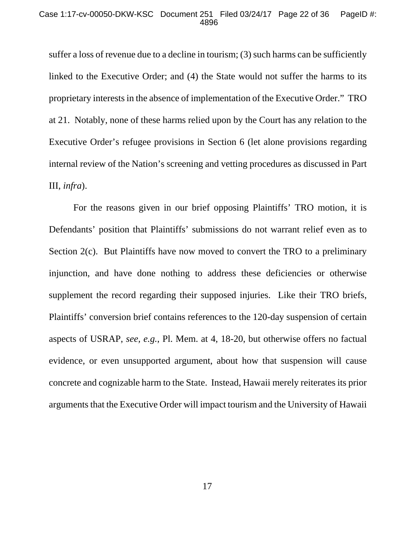### Case 1:17-cv-00050-DKW-KSC Document 251 Filed 03/24/17 Page 22 of 36 PageID #: 4896

suffer a loss of revenue due to a decline in tourism; (3) such harms can be sufficiently linked to the Executive Order; and (4) the State would not suffer the harms to its proprietary interests in the absence of implementation of the Executive Order." TRO at 21. Notably, none of these harms relied upon by the Court has any relation to the Executive Order's refugee provisions in Section 6 (let alone provisions regarding internal review of the Nation's screening and vetting procedures as discussed in Part III, *infra*).

For the reasons given in our brief opposing Plaintiffs' TRO motion, it is Defendants' position that Plaintiffs' submissions do not warrant relief even as to Section 2(c). But Plaintiffs have now moved to convert the TRO to a preliminary injunction, and have done nothing to address these deficiencies or otherwise supplement the record regarding their supposed injuries. Like their TRO briefs, Plaintiffs' conversion brief contains references to the 120-day suspension of certain aspects of USRAP, *see, e.g.*, Pl. Mem. at 4, 18-20, but otherwise offers no factual evidence, or even unsupported argument, about how that suspension will cause concrete and cognizable harm to the State. Instead, Hawaii merely reiterates its prior arguments that the Executive Order will impact tourism and the University of Hawaii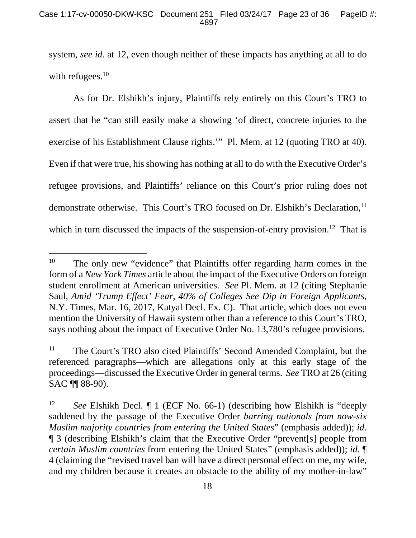system, *see id.* at 12, even though neither of these impacts has anything at all to do with refugees. $10$ 

As for Dr. Elshikh's injury, Plaintiffs rely entirely on this Court's TRO to assert that he "can still easily make a showing 'of direct, concrete injuries to the exercise of his Establishment Clause rights.'" Pl. Mem. at 12 (quoting TRO at 40). Even if that were true, his showing has nothing at all to do with the Executive Order's refugee provisions, and Plaintiffs' reliance on this Court's prior ruling does not demonstrate otherwise. This Court's TRO focused on Dr. Elshikh's Declaration,<sup>11</sup> which in turn discussed the impacts of the suspension-of-entry provision.<sup>12</sup> That is

 $\overline{a}$ 

<sup>&</sup>lt;sup>10</sup> The only new "evidence" that Plaintiffs offer regarding harm comes in the form of a *New York Times* article about the impact of the Executive Orders on foreign student enrollment at American universities. *See* Pl. Mem. at 12 (citing Stephanie Saul, *Amid 'Trump Effect' Fear, 40% of Colleges See Dip in Foreign Applicants*, N.Y. Times, Mar. 16, 2017, Katyal Decl. Ex. C). That article, which does not even mention the University of Hawaii system other than a reference to this Court's TRO, says nothing about the impact of Executive Order No. 13,780's refugee provisions.

<sup>&</sup>lt;sup>11</sup> The Court's TRO also cited Plaintiffs' Second Amended Complaint, but the referenced paragraphs—which are allegations only at this early stage of the proceedings—discussed the Executive Order in general terms. *See* TRO at 26 (citing SAC ¶¶ 88-90).

<sup>12</sup> *See* Elshikh Decl. ¶ 1 (ECF No. 66-1) (describing how Elshikh is "deeply saddened by the passage of the Executive Order *barring nationals from now-six Muslim majority countries from entering the United States*" (emphasis added)); *id.* ¶ 3 (describing Elshikh's claim that the Executive Order "prevent[s] people from *certain Muslim countries* from entering the United States" (emphasis added)); *id.* ¶ 4 (claiming the "revised travel ban will have a direct personal effect on me, my wife, and my children because it creates an obstacle to the ability of my mother-in-law"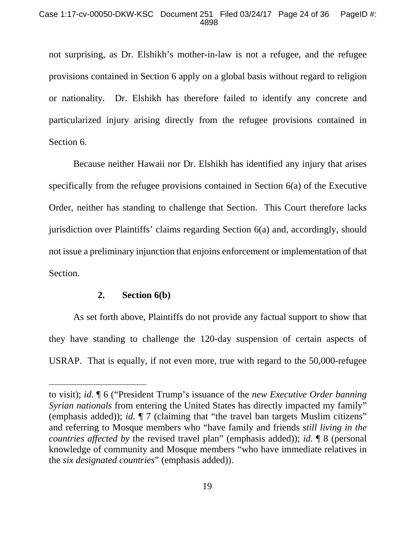not surprising, as Dr. Elshikh's mother-in-law is not a refugee, and the refugee provisions contained in Section 6 apply on a global basis without regard to religion or nationality. Dr. Elshikh has therefore failed to identify any concrete and particularized injury arising directly from the refugee provisions contained in Section 6.

Because neither Hawaii nor Dr. Elshikh has identified any injury that arises specifically from the refugee provisions contained in Section 6(a) of the Executive Order, neither has standing to challenge that Section. This Court therefore lacks jurisdiction over Plaintiffs' claims regarding Section 6(a) and, accordingly, should not issue a preliminary injunction that enjoins enforcement or implementation of that Section.

## **2. Section 6(b)**

-

As set forth above, Plaintiffs do not provide any factual support to show that they have standing to challenge the 120-day suspension of certain aspects of USRAP. That is equally, if not even more, true with regard to the 50,000-refugee

to visit); *id.* ¶ 6 ("President Trump's issuance of the *new Executive Order banning Syrian nationals* from entering the United States has directly impacted my family" (emphasis added)); *id.* ¶ 7 (claiming that "the travel ban targets Muslim citizens" and referring to Mosque members who "have family and friends *still living in the countries affected by* the revised travel plan" (emphasis added)); *id.* ¶ 8 (personal knowledge of community and Mosque members "who have immediate relatives in the *six designated countries*" (emphasis added)).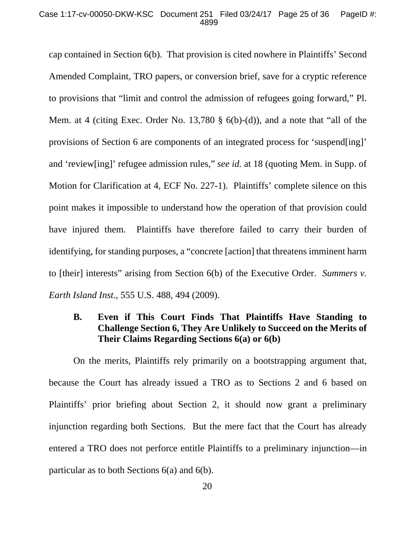### Case 1:17-cv-00050-DKW-KSC Document 251 Filed 03/24/17 Page 25 of 36 PageID #: 4899

cap contained in Section 6(b). That provision is cited nowhere in Plaintiffs' Second Amended Complaint, TRO papers, or conversion brief, save for a cryptic reference to provisions that "limit and control the admission of refugees going forward," Pl. Mem. at 4 (citing Exec. Order No. 13,780 § 6(b)-(d)), and a note that "all of the provisions of Section 6 are components of an integrated process for 'suspend[ing]' and 'review[ing]' refugee admission rules," *see id.* at 18 (quoting Mem. in Supp. of Motion for Clarification at 4, ECF No. 227-1). Plaintiffs' complete silence on this point makes it impossible to understand how the operation of that provision could have injured them. Plaintiffs have therefore failed to carry their burden of identifying, for standing purposes, a "concrete [action] that threatens imminent harm to [their] interests" arising from Section 6(b) of the Executive Order. *Summers v. Earth Island Inst.*, 555 U.S. 488, 494 (2009).

## **B. Even if This Court Finds That Plaintiffs Have Standing to Challenge Section 6, They Are Unlikely to Succeed on the Merits of Their Claims Regarding Sections 6(a) or 6(b)**

On the merits, Plaintiffs rely primarily on a bootstrapping argument that, because the Court has already issued a TRO as to Sections 2 and 6 based on Plaintiffs' prior briefing about Section 2, it should now grant a preliminary injunction regarding both Sections. But the mere fact that the Court has already entered a TRO does not perforce entitle Plaintiffs to a preliminary injunction—in particular as to both Sections 6(a) and 6(b).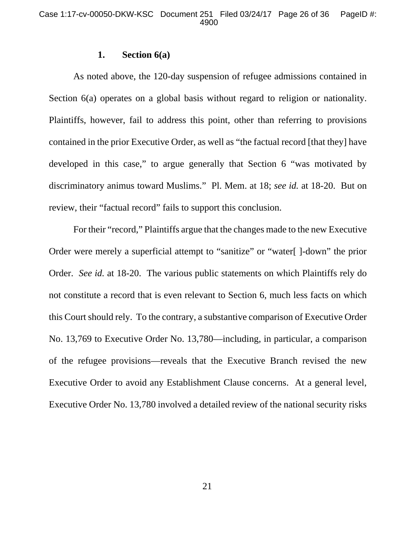### **1. Section 6(a)**

As noted above, the 120-day suspension of refugee admissions contained in Section 6(a) operates on a global basis without regard to religion or nationality. Plaintiffs, however, fail to address this point, other than referring to provisions contained in the prior Executive Order, as well as "the factual record [that they] have developed in this case," to argue generally that Section 6 "was motivated by discriminatory animus toward Muslims." Pl. Mem. at 18; *see id.* at 18-20. But on review, their "factual record" fails to support this conclusion.

For their "record," Plaintiffs argue that the changes made to the new Executive Order were merely a superficial attempt to "sanitize" or "water[ ]-down" the prior Order. *See id.* at 18-20. The various public statements on which Plaintiffs rely do not constitute a record that is even relevant to Section 6, much less facts on which this Court should rely. To the contrary, a substantive comparison of Executive Order No. 13,769 to Executive Order No. 13,780—including, in particular, a comparison of the refugee provisions—reveals that the Executive Branch revised the new Executive Order to avoid any Establishment Clause concerns. At a general level, Executive Order No. 13,780 involved a detailed review of the national security risks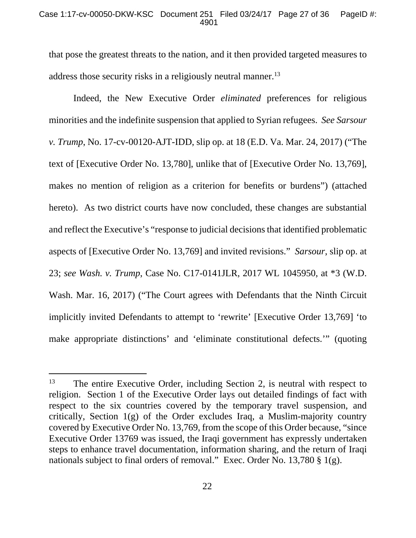### Case 1:17-cv-00050-DKW-KSC Document 251 Filed 03/24/17 Page 27 of 36 PageID #: 4901

that pose the greatest threats to the nation, and it then provided targeted measures to address those security risks in a religiously neutral manner.<sup>13</sup>

Indeed, the New Executive Order *eliminated* preferences for religious minorities and the indefinite suspension that applied to Syrian refugees. *See Sarsour v. Trump*, No. 17-cv-00120-AJT-IDD, slip op. at 18 (E.D. Va. Mar. 24, 2017) ("The text of [Executive Order No. 13,780], unlike that of [Executive Order No. 13,769], makes no mention of religion as a criterion for benefits or burdens") (attached hereto). As two district courts have now concluded, these changes are substantial and reflect the Executive's "response to judicial decisions that identified problematic aspects of [Executive Order No. 13,769] and invited revisions." *Sarsour*, slip op. at 23; *see Wash. v. Trump*, Case No. C17-0141JLR, 2017 WL 1045950, at \*3 (W.D. Wash. Mar. 16, 2017) ("The Court agrees with Defendants that the Ninth Circuit implicitly invited Defendants to attempt to 'rewrite' [Executive Order 13,769] 'to make appropriate distinctions' and 'eliminate constitutional defects.'" (quoting

 $\overline{a}$ 

 $13$  The entire Executive Order, including Section 2, is neutral with respect to religion. Section 1 of the Executive Order lays out detailed findings of fact with respect to the six countries covered by the temporary travel suspension, and critically, Section  $1(g)$  of the Order excludes Iraq, a Muslim-majority country covered by Executive Order No. 13,769, from the scope of this Order because, "since Executive Order 13769 was issued, the Iraqi government has expressly undertaken steps to enhance travel documentation, information sharing, and the return of Iraqi nationals subject to final orders of removal." Exec. Order No. 13,780 § 1(g).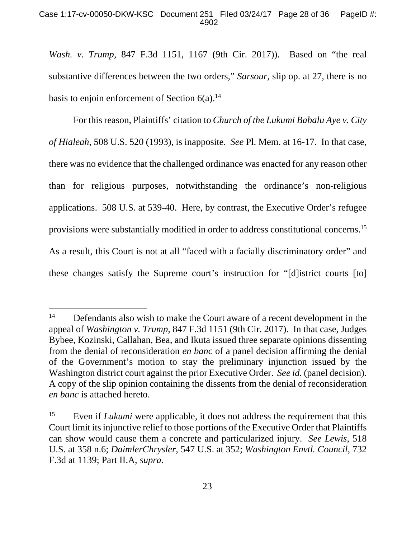*Wash. v. Trump*, 847 F.3d 1151, 1167 (9th Cir. 2017)). Based on "the real substantive differences between the two orders," *Sarsour*, slip op. at 27, there is no basis to enjoin enforcement of Section  $6(a)$ .<sup>14</sup>

For this reason, Plaintiffs' citation to *Church of the Lukumi Babalu Aye v. City of Hialeah*, 508 U.S. 520 (1993), is inapposite. *See* Pl. Mem. at 16-17. In that case, there was no evidence that the challenged ordinance was enacted for any reason other than for religious purposes, notwithstanding the ordinance's non-religious applications. 508 U.S. at 539-40. Here, by contrast, the Executive Order's refugee provisions were substantially modified in order to address constitutional concerns.15 As a result, this Court is not at all "faced with a facially discriminatory order" and these changes satisfy the Supreme court's instruction for "[d]istrict courts [to]

-

<sup>&</sup>lt;sup>14</sup> Defendants also wish to make the Court aware of a recent development in the appeal of *Washington v. Trump*, 847 F.3d 1151 (9th Cir. 2017). In that case, Judges Bybee, Kozinski, Callahan, Bea, and Ikuta issued three separate opinions dissenting from the denial of reconsideration *en banc* of a panel decision affirming the denial of the Government's motion to stay the preliminary injunction issued by the Washington district court against the prior Executive Order. *See id.* (panel decision). A copy of the slip opinion containing the dissents from the denial of reconsideration *en banc* is attached hereto.

<sup>&</sup>lt;sup>15</sup> Even if *Lukumi* were applicable, it does not address the requirement that this Court limit its injunctive relief to those portions of the Executive Order that Plaintiffs can show would cause them a concrete and particularized injury. *See Lewis*, 518 U.S. at 358 n.6; *DaimlerChrysler*, 547 U.S. at 352; *Washington Envtl. Council*, 732 F.3d at 1139; Part II.A, *supra*.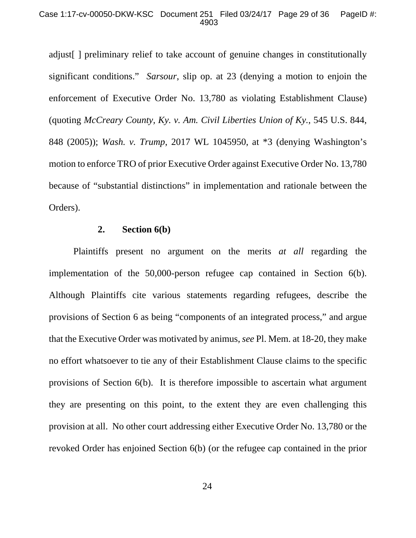adjust[ ] preliminary relief to take account of genuine changes in constitutionally significant conditions." *Sarsour*, slip op. at 23 (denying a motion to enjoin the enforcement of Executive Order No. 13,780 as violating Establishment Clause) (quoting *McCreary County, Ky. v. Am. Civil Liberties Union of Ky.*, 545 U.S. 844, 848 (2005)); *Wash. v. Trump*, 2017 WL 1045950, at \*3 (denying Washington's motion to enforce TRO of prior Executive Order against Executive Order No. 13,780 because of "substantial distinctions" in implementation and rationale between the Orders).

## **2. Section 6(b)**

Plaintiffs present no argument on the merits *at all* regarding the implementation of the 50,000-person refugee cap contained in Section 6(b). Although Plaintiffs cite various statements regarding refugees, describe the provisions of Section 6 as being "components of an integrated process," and argue that the Executive Order was motivated by animus, *see* Pl. Mem. at 18-20, they make no effort whatsoever to tie any of their Establishment Clause claims to the specific provisions of Section 6(b). It is therefore impossible to ascertain what argument they are presenting on this point, to the extent they are even challenging this provision at all. No other court addressing either Executive Order No. 13,780 or the revoked Order has enjoined Section 6(b) (or the refugee cap contained in the prior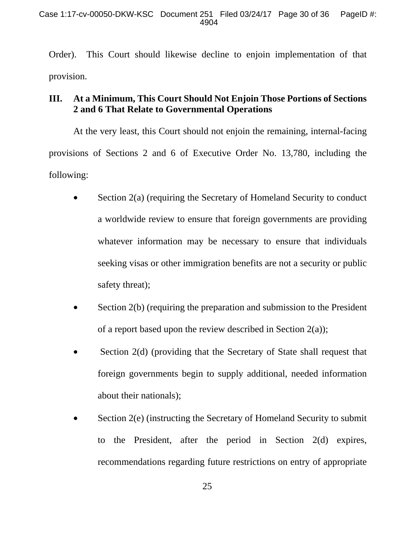Order). This Court should likewise decline to enjoin implementation of that provision.

## **III. At a Minimum, This Court Should Not Enjoin Those Portions of Sections 2 and 6 That Relate to Governmental Operations**

At the very least, this Court should not enjoin the remaining, internal-facing provisions of Sections 2 and 6 of Executive Order No. 13,780, including the following:

- Section 2(a) (requiring the Secretary of Homeland Security to conduct a worldwide review to ensure that foreign governments are providing whatever information may be necessary to ensure that individuals seeking visas or other immigration benefits are not a security or public safety threat);
- Section 2(b) (requiring the preparation and submission to the President of a report based upon the review described in Section 2(a));
- Section 2(d) (providing that the Secretary of State shall request that foreign governments begin to supply additional, needed information about their nationals);
- Section 2(e) (instructing the Secretary of Homeland Security to submit to the President, after the period in Section 2(d) expires, recommendations regarding future restrictions on entry of appropriate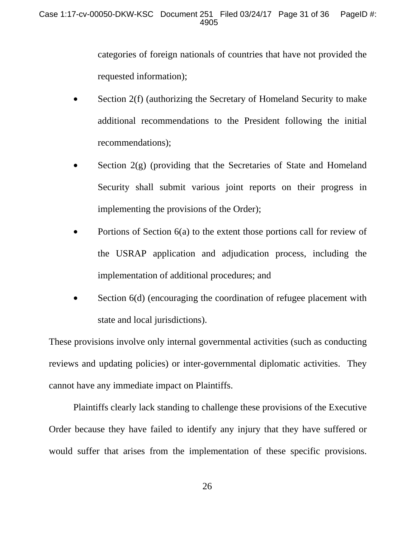categories of foreign nationals of countries that have not provided the requested information);

- Section 2(f) (authorizing the Secretary of Homeland Security to make additional recommendations to the President following the initial recommendations);
- Section  $2(g)$  (providing that the Secretaries of State and Homeland Security shall submit various joint reports on their progress in implementing the provisions of the Order);
- Portions of Section 6(a) to the extent those portions call for review of the USRAP application and adjudication process, including the implementation of additional procedures; and
- Section 6(d) (encouraging the coordination of refugee placement with state and local jurisdictions).

These provisions involve only internal governmental activities (such as conducting reviews and updating policies) or inter-governmental diplomatic activities. They cannot have any immediate impact on Plaintiffs.

Plaintiffs clearly lack standing to challenge these provisions of the Executive Order because they have failed to identify any injury that they have suffered or would suffer that arises from the implementation of these specific provisions.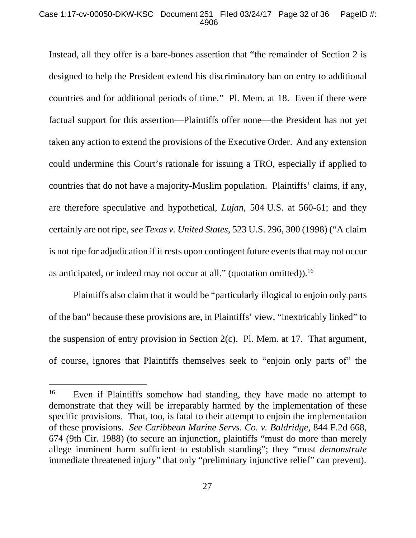### Case 1:17-cv-00050-DKW-KSC Document 251 Filed 03/24/17 Page 32 of 36 PageID #: 4906

Instead, all they offer is a bare-bones assertion that "the remainder of Section 2 is designed to help the President extend his discriminatory ban on entry to additional countries and for additional periods of time." Pl. Mem. at 18. Even if there were factual support for this assertion—Plaintiffs offer none—the President has not yet taken any action to extend the provisions of the Executive Order. And any extension could undermine this Court's rationale for issuing a TRO, especially if applied to countries that do not have a majority-Muslim population. Plaintiffs' claims, if any, are therefore speculative and hypothetical, *Lujan*, 504 U.S. at 560-61; and they certainly are not ripe, *see Texas v. United States*, 523 U.S. 296, 300 (1998) ("A claim is not ripe for adjudication if it rests upon contingent future events that may not occur as anticipated, or indeed may not occur at all." (quotation omitted)).16

Plaintiffs also claim that it would be "particularly illogical to enjoin only parts of the ban" because these provisions are, in Plaintiffs' view, "inextricably linked" to the suspension of entry provision in Section 2(c). Pl. Mem. at 17. That argument, of course, ignores that Plaintiffs themselves seek to "enjoin only parts of" the

-

<sup>&</sup>lt;sup>16</sup> Even if Plaintiffs somehow had standing, they have made no attempt to demonstrate that they will be irreparably harmed by the implementation of these specific provisions. That, too, is fatal to their attempt to enjoin the implementation of these provisions. *See Caribbean Marine Servs. Co. v. Baldridge*, 844 F.2d 668, 674 (9th Cir. 1988) (to secure an injunction, plaintiffs "must do more than merely allege imminent harm sufficient to establish standing"; they "must *demonstrate* immediate threatened injury" that only "preliminary injunctive relief" can prevent).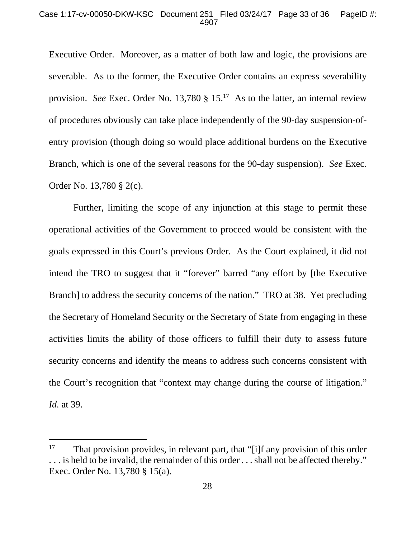### Case 1:17-cv-00050-DKW-KSC Document 251 Filed 03/24/17 Page 33 of 36 PageID #: 4907

Executive Order. Moreover, as a matter of both law and logic, the provisions are severable. As to the former, the Executive Order contains an express severability provision. *See* Exec. Order No. 13,780 § 15.17 As to the latter, an internal review of procedures obviously can take place independently of the 90-day suspension-ofentry provision (though doing so would place additional burdens on the Executive Branch, which is one of the several reasons for the 90-day suspension). *See* Exec. Order No. 13,780 § 2(c).

Further, limiting the scope of any injunction at this stage to permit these operational activities of the Government to proceed would be consistent with the goals expressed in this Court's previous Order. As the Court explained, it did not intend the TRO to suggest that it "forever" barred "any effort by [the Executive Branch] to address the security concerns of the nation." TRO at 38. Yet precluding the Secretary of Homeland Security or the Secretary of State from engaging in these activities limits the ability of those officers to fulfill their duty to assess future security concerns and identify the means to address such concerns consistent with the Court's recognition that "context may change during the course of litigation." *Id.* at 39.

 $\overline{a}$ 

<sup>&</sup>lt;sup>17</sup> That provision provides, in relevant part, that "[i]f any provision of this order . . . is held to be invalid, the remainder of this order . . . shall not be affected thereby." Exec. Order No. 13,780 § 15(a).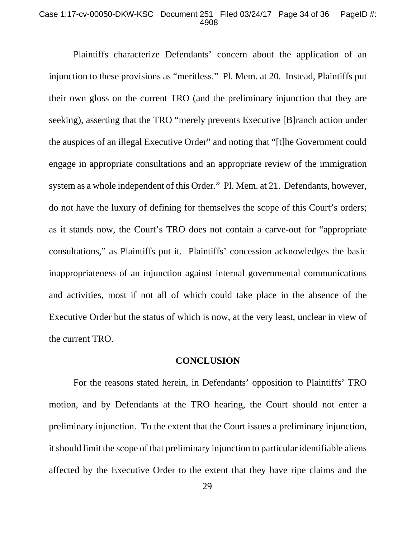#### Case 1:17-cv-00050-DKW-KSC Document 251 Filed 03/24/17 Page 34 of 36 PageID #: 4908

Plaintiffs characterize Defendants' concern about the application of an injunction to these provisions as "meritless." Pl. Mem. at 20. Instead, Plaintiffs put their own gloss on the current TRO (and the preliminary injunction that they are seeking), asserting that the TRO "merely prevents Executive [B]ranch action under the auspices of an illegal Executive Order" and noting that "[t]he Government could engage in appropriate consultations and an appropriate review of the immigration system as a whole independent of this Order." Pl. Mem. at 21. Defendants, however, do not have the luxury of defining for themselves the scope of this Court's orders; as it stands now, the Court's TRO does not contain a carve-out for "appropriate consultations," as Plaintiffs put it. Plaintiffs' concession acknowledges the basic inappropriateness of an injunction against internal governmental communications and activities, most if not all of which could take place in the absence of the Executive Order but the status of which is now, at the very least, unclear in view of the current TRO.

## **CONCLUSION**

 For the reasons stated herein, in Defendants' opposition to Plaintiffs' TRO motion, and by Defendants at the TRO hearing, the Court should not enter a preliminary injunction. To the extent that the Court issues a preliminary injunction, it should limit the scope of that preliminary injunction to particular identifiable aliens affected by the Executive Order to the extent that they have ripe claims and the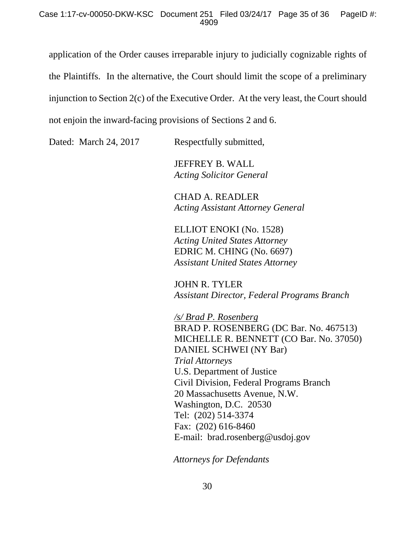### Case 1:17-cv-00050-DKW-KSC Document 251 Filed 03/24/17 Page 35 of 36 PageID #: 4909

application of the Order causes irreparable injury to judicially cognizable rights of the Plaintiffs. In the alternative, the Court should limit the scope of a preliminary injunction to Section 2(c) of the Executive Order. At the very least, the Court should not enjoin the inward-facing provisions of Sections 2 and 6.

Dated: March 24, 2017 Respectfully submitted,

 JEFFREY B. WALL *Acting Solicitor General* 

 CHAD A. READLER *Acting Assistant Attorney General* 

 ELLIOT ENOKI (No. 1528) *Acting United States Attorney*  EDRIC M. CHING (No. 6697) *Assistant United States Attorney* 

JOHN R. TYLER *Assistant Director, Federal Programs Branch* 

*/s/ Brad P. Rosenberg*  BRAD P. ROSENBERG (DC Bar. No. 467513) MICHELLE R. BENNETT (CO Bar. No. 37050) DANIEL SCHWEI (NY Bar) *Trial Attorneys*  U.S. Department of Justice Civil Division, Federal Programs Branch 20 Massachusetts Avenue, N.W. Washington, D.C. 20530 Tel: (202) 514-3374 Fax: (202) 616-8460 E-mail: brad.rosenberg@usdoj.gov

 *Attorneys for Defendants*